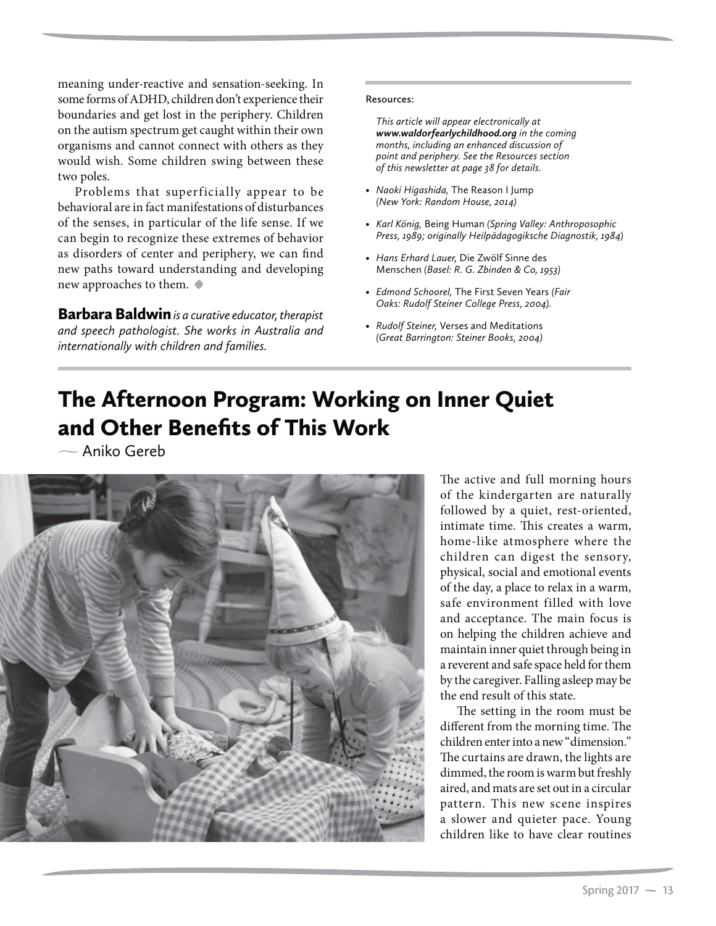## The Afternoon Program: Working on Inner Quiet and Other Benefits of This Work

 $\sim$  Aniko Gereb



The active and full morning hours of the kindergarten are naturally followed by a quiet, rest-oriented, intimate time. This creates a warm, home-like atmosphere where the children can digest the sensory, physical, social and emotional events of the day, a place to relax in a warm, safe environment filled with love and acceptance. The main focus is on helping the children achieve and maintain inner quiet through being in a reverent and safe space held for them by the caregiver. Falling asleep may be the end result of this state.

The setting in the room must be different from the morning time. The children enter into a new "dimension." The curtains are drawn, the lights are dimmed, the room is warm but freshly aired, and mats are set out in a circular pattern. This new scene inspires a slower and quieter pace. Young children like to have clear routines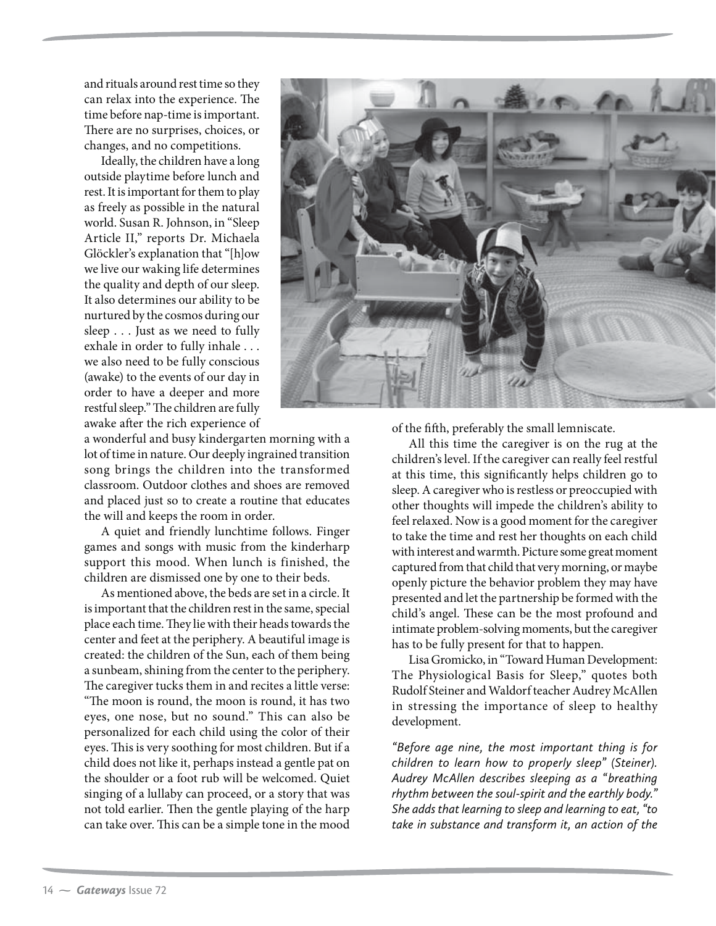and rituals around rest time so they can relax into the experience. The time before nap-time is important. There are no surprises, choices, or changes, and no competitions.

Ideally, the children have a long outside playtime before lunch and rest. It is important for them to play as freely as possible in the natural world. Susan R. Johnson, in "Sleep Article II," reports Dr. Michaela Glöckler's explanation that "[h]ow we live our waking life determines the quality and depth of our sleep. It also determines our ability to be nurtured by the cosmos during our sleep . . . Just as we need to fully exhale in order to fully inhale . . . we also need to be fully conscious (awake) to the events of our day in order to have a deeper and more restful sleep." The children are fully awake after the rich experience of



a wonderful and busy kindergarten morning with a lot of time in nature. Our deeply ingrained transition song brings the children into the transformed classroom. Outdoor clothes and shoes are removed and placed just so to create a routine that educates the will and keeps the room in order.

A quiet and friendly lunchtime follows. Finger games and songs with music from the kinderharp support this mood. When lunch is finished, the children are dismissed one by one to their beds.

As mentioned above, the beds are set in a circle. It is important that the children rest in the same, special place each time. They lie with their heads towards the center and feet at the periphery. A beautiful image is created: the children of the Sun, each of them being a sunbeam, shining from the center to the periphery. The caregiver tucks them in and recites a little verse: "The moon is round, the moon is round, it has two eyes, one nose, but no sound." This can also be personalized for each child using the color of their eyes. This is very soothing for most children. But if a child does not like it, perhaps instead a gentle pat on the shoulder or a foot rub will be welcomed. Quiet singing of a lullaby can proceed, or a story that was not told earlier. Then the gentle playing of the harp can take over. This can be a simple tone in the mood

of the fifth, preferably the small lemniscate.

All this time the caregiver is on the rug at the children's level. If the caregiver can really feel restful at this time, this significantly helps children go to sleep. A caregiver who is restless or preoccupied with other thoughts will impede the children's ability to feel relaxed. Now is a good moment for the caregiver to take the time and rest her thoughts on each child with interest and warmth. Picture some great moment captured from that child that very morning, or maybe openly picture the behavior problem they may have presented and let the partnership be formed with the child's angel. These can be the most profound and intimate problem-solving moments, but the caregiver has to be fully present for that to happen.

Lisa Gromicko, in "Toward Human Development: The Physiological Basis for Sleep," quotes both Rudolf Steiner and Waldorf teacher Audrey McAllen in stressing the importance of sleep to healthy development.

*"Before age nine, the most important thing is for children to learn how to properly sleep" (Steiner). Audrey McAllen describes sleeping as a "breathing rhythm between the soul-spirit and the earthly body." She adds that learning to sleep and learning to eat, "to take in substance and transform it, an action of the*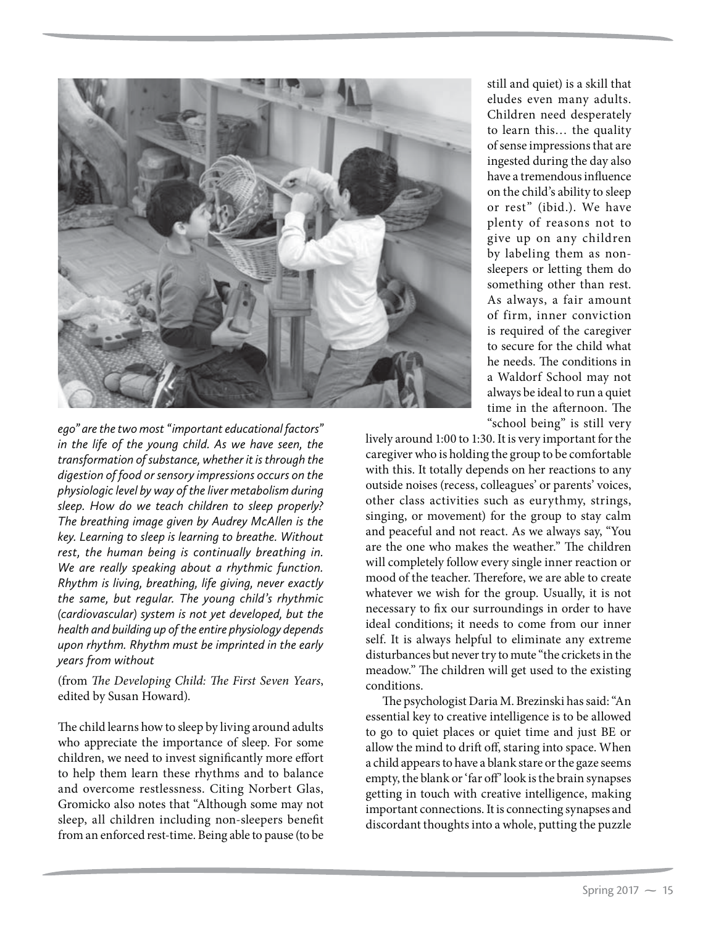

*ego" are the two most "important educational factors" in the life of the young child. As we have seen, the transformation of substance, whether it is through the digestion of food or sensory impressions occurs on the physiologic level by way of the liver metabolism during sleep. How do we teach children to sleep properly? The breathing image given by Audrey McAllen is the key. Learning to sleep is learning to breathe. Without rest, the human being is continually breathing in. We are really speaking about a rhythmic function. Rhythm is living, breathing, life giving, never exactly the same, but regular. The young child's rhythmic (cardiovascular) system is not yet developed, but the health and building up of the entire physiology depends upon rhythm. Rhythm must be imprinted in the early years from without* 

(from *The Developing Child: The First Seven Years*, edited by Susan Howard).

The child learns how to sleep by living around adults who appreciate the importance of sleep. For some children, we need to invest significantly more effort to help them learn these rhythms and to balance and overcome restlessness. Citing Norbert Glas, Gromicko also notes that "Although some may not sleep, all children including non-sleepers benefit from an enforced rest-time. Being able to pause (to be still and quiet) is a skill that eludes even many adults. Children need desperately to learn this… the quality of sense impressions that are ingested during the day also have a tremendous influence on the child's ability to sleep or rest" (ibid.). We have plenty of reasons not to give up on any children by labeling them as nonsleepers or letting them do something other than rest. As always, a fair amount of firm, inner conviction is required of the caregiver to secure for the child what he needs. The conditions in a Waldorf School may not always be ideal to run a quiet time in the afternoon. The "school being" is still very

lively around 1:00 to 1:30. It is very important for the caregiver who is holding the group to be comfortable with this. It totally depends on her reactions to any outside noises (recess, colleagues' or parents' voices, other class activities such as eurythmy, strings, singing, or movement) for the group to stay calm and peaceful and not react. As we always say, "You are the one who makes the weather." The children will completely follow every single inner reaction or mood of the teacher. Therefore, we are able to create whatever we wish for the group. Usually, it is not necessary to fix our surroundings in order to have ideal conditions; it needs to come from our inner self. It is always helpful to eliminate any extreme disturbances but never try to mute "the crickets in the meadow." The children will get used to the existing conditions.

The psychologist Daria M. Brezinski has said: "An essential key to creative intelligence is to be allowed to go to quiet places or quiet time and just BE or allow the mind to drift off, staring into space. When a child appears to have a blank stare or the gaze seems empty, the blank or 'far off' look is the brain synapses getting in touch with creative intelligence, making important connections. It is connecting synapses and discordant thoughts into a whole, putting the puzzle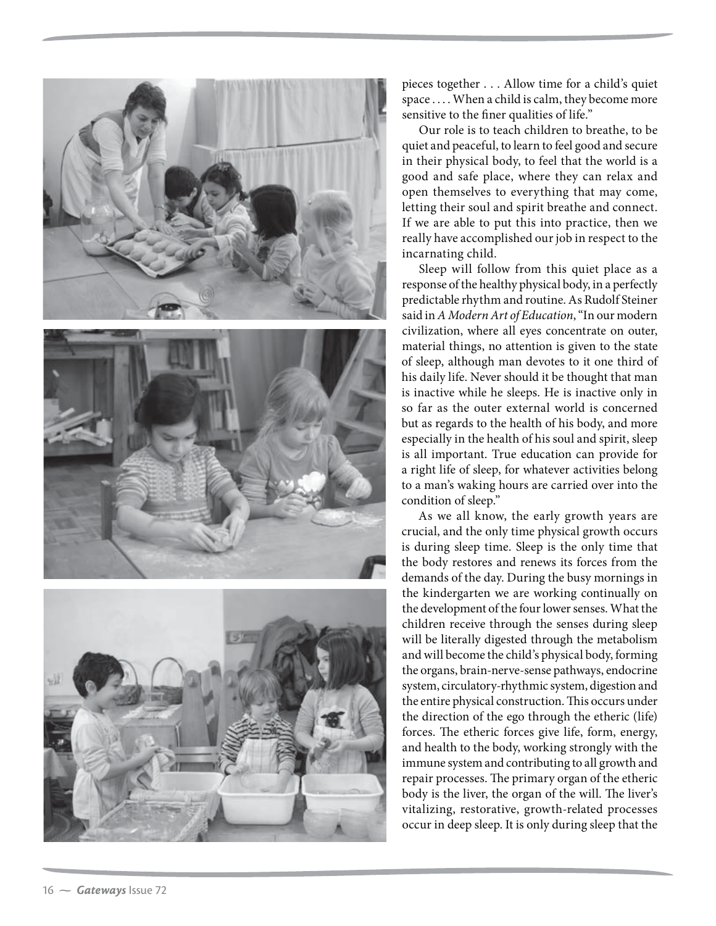





pieces together . . . Allow time for a child's quiet space . . . . When a child is calm, they become more sensitive to the finer qualities of life."

Our role is to teach children to breathe, to be quiet and peaceful, to learn to feel good and secure in their physical body, to feel that the world is a good and safe place, where they can relax and open themselves to everything that may come, letting their soul and spirit breathe and connect. If we are able to put this into practice, then we really have accomplished our job in respect to the incarnating child.

Sleep will follow from this quiet place as a response of the healthy physical body, in a perfectly predictable rhythm and routine. As Rudolf Steiner said in *A Modern Art of Education*, "In our modern civilization, where all eyes concentrate on outer, material things, no attention is given to the state of sleep, although man devotes to it one third of his daily life. Never should it be thought that man is inactive while he sleeps. He is inactive only in so far as the outer external world is concerned but as regards to the health of his body, and more especially in the health of his soul and spirit, sleep is all important. True education can provide for a right life of sleep, for whatever activities belong to a man's waking hours are carried over into the condition of sleep."

As we all know, the early growth years are crucial, and the only time physical growth occurs is during sleep time. Sleep is the only time that the body restores and renews its forces from the demands of the day. During the busy mornings in the kindergarten we are working continually on the development of the four lower senses. What the children receive through the senses during sleep will be literally digested through the metabolism and will become the child's physical body, forming the organs, brain-nerve-sense pathways, endocrine system, circulatory-rhythmic system, digestion and the entire physical construction. This occurs under the direction of the ego through the etheric (life) forces. The etheric forces give life, form, energy, and health to the body, working strongly with the immune system and contributing to all growth and repair processes. The primary organ of the etheric body is the liver, the organ of the will. The liver's vitalizing, restorative, growth-related processes occur in deep sleep. It is only during sleep that the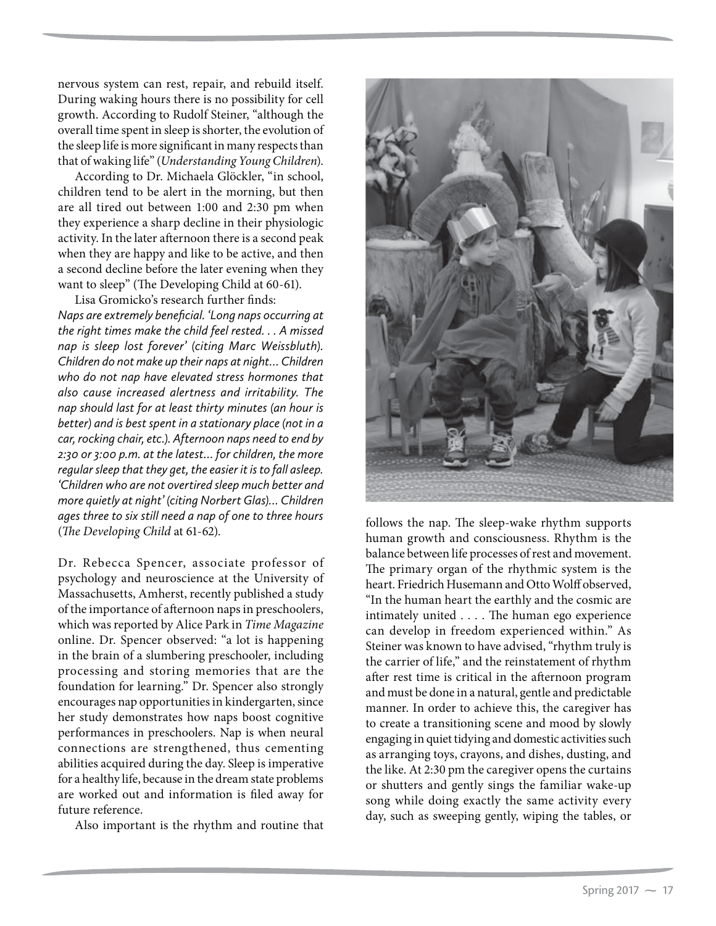nervous system can rest, repair, and rebuild itself. During waking hours there is no possibility for cell growth. According to Rudolf Steiner, "although the overall time spent in sleep is shorter, the evolution of the sleep life is more significant in many respects than that of waking life" (*Understanding Young Children*).

According to Dr. Michaela Glöckler, "in school, children tend to be alert in the morning, but then are all tired out between 1:00 and 2:30 pm when they experience a sharp decline in their physiologic activity. In the later afternoon there is a second peak when they are happy and like to be active, and then a second decline before the later evening when they want to sleep" (The Developing Child at 60-61).

Lisa Gromicko's research further finds: *Naps are extremely beneficial. 'Long naps occurring at the right times make the child feel rested. . . A missed nap is sleep lost forever' (citing Marc Weissbluth). Children do not make up their naps at night… Children who do not nap have elevated stress hormones that also cause increased alertness and irritability. The nap should last for at least thirty minutes (an hour is better) and is best spent in a stationary place (not in a car, rocking chair, etc.). Afternoon naps need to end by 2:30 or 3:00 p.m. at the latest… for children, the more regular sleep that they get, the easier it is to fall asleep. 'Children who are not overtired sleep much better and more quietly at night' (citing Norbert Glas)… Children ages three to six still need a nap of one to three hours*  (*The Developing Child* at 61-62).

Dr. Rebecca Spencer, associate professor of psychology and neuroscience at the University of Massachusetts, Amherst, recently published a study of the importance of afternoon naps in preschoolers, which was reported by Alice Park in *Time Magazine*  online. Dr. Spencer observed: "a lot is happening in the brain of a slumbering preschooler, including processing and storing memories that are the foundation for learning." Dr. Spencer also strongly encourages nap opportunities in kindergarten, since her study demonstrates how naps boost cognitive performances in preschoolers. Nap is when neural connections are strengthened, thus cementing abilities acquired during the day. Sleep is imperative for a healthy life, because in the dream state problems are worked out and information is filed away for future reference.

Also important is the rhythm and routine that



follows the nap. The sleep-wake rhythm supports human growth and consciousness. Rhythm is the balance between life processes of rest and movement. The primary organ of the rhythmic system is the heart. Friedrich Husemann and Otto Wolff observed, "In the human heart the earthly and the cosmic are intimately united . . . . The human ego experience can develop in freedom experienced within." As Steiner was known to have advised, "rhythm truly is the carrier of life," and the reinstatement of rhythm after rest time is critical in the afternoon program and must be done in a natural, gentle and predictable manner. In order to achieve this, the caregiver has to create a transitioning scene and mood by slowly engaging in quiet tidying and domestic activities such as arranging toys, crayons, and dishes, dusting, and the like. At 2:30 pm the caregiver opens the curtains or shutters and gently sings the familiar wake-up song while doing exactly the same activity every day, such as sweeping gently, wiping the tables, or